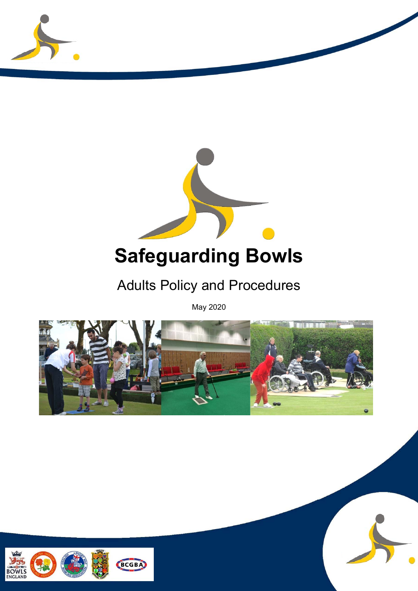



# Adults Policy and Procedures

May 2020



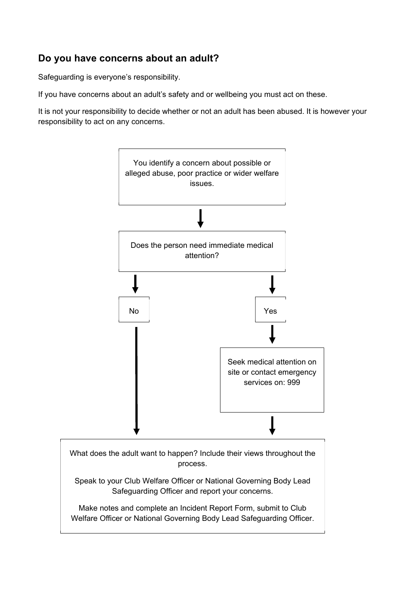#### **Do you have concerns about an adult?**

Safeguarding is everyone's responsibility.

If you have concerns about an adult's safety and or wellbeing you must act on these.

It is not your responsibility to decide whether or not an adult has been abused. It is however your responsibility to act on any concerns.



Make notes and complete an Incident Report Form, submit to Club Welfare Officer or National Governing Body Lead Safeguarding Officer.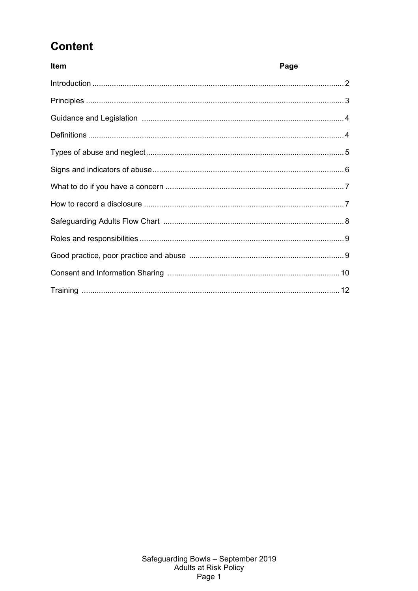## **Content**

| <b>Item</b> | Page |
|-------------|------|
|             |      |
|             |      |
|             |      |
|             |      |
|             |      |
|             |      |
|             |      |
|             |      |
|             |      |
|             |      |
|             |      |
|             |      |
|             |      |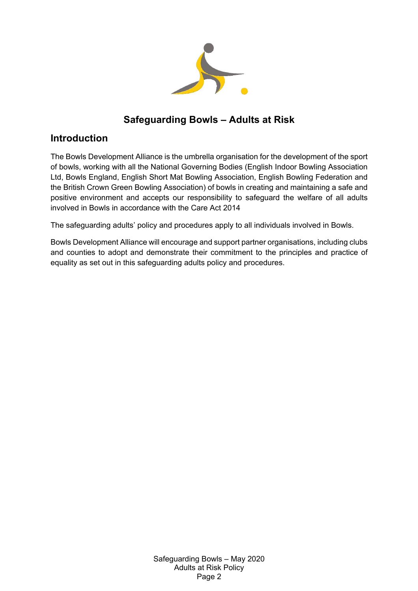

## **Safeguarding Bowls – Adults at Risk**

#### **Introduction**

The Bowls Development Alliance is the umbrella organisation for the development of the sport of bowls, working with all the National Governing Bodies (English Indoor Bowling Association Ltd, Bowls England, English Short Mat Bowling Association, English Bowling Federation and the British Crown Green Bowling Association) of bowls in creating and maintaining a safe and positive environment and accepts our responsibility to safeguard the welfare of all adults involved in Bowls in accordance with the Care Act 2014

The safeguarding adults' policy and procedures apply to all individuals involved in Bowls.

Bowls Development Alliance will encourage and support partner organisations, including clubs and counties to adopt and demonstrate their commitment to the principles and practice of equality as set out in this safeguarding adults policy and procedures.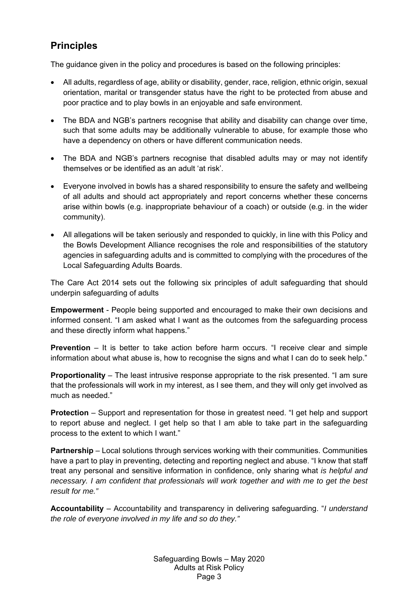## **Principles**

The guidance given in the policy and procedures is based on the following principles:

- All adults, regardless of age, ability or disability, gender, race, religion, ethnic origin, sexual orientation, marital or transgender status have the right to be protected from abuse and poor practice and to play bowls in an enjoyable and safe environment.
- The BDA and NGB's partners recognise that ability and disability can change over time, such that some adults may be additionally vulnerable to abuse, for example those who have a dependency on others or have different communication needs.
- The BDA and NGB's partners recognise that disabled adults may or may not identify themselves or be identified as an adult 'at risk'.
- Everyone involved in bowls has a shared responsibility to ensure the safety and wellbeing of all adults and should act appropriately and report concerns whether these concerns arise within bowls (e.g. inappropriate behaviour of a coach) or outside (e.g. in the wider community).
- All allegations will be taken seriously and responded to quickly, in line with this Policy and the Bowls Development Alliance recognises the role and responsibilities of the statutory agencies in safeguarding adults and is committed to complying with the procedures of the Local Safeguarding Adults Boards.

The Care Act 2014 sets out the following six principles of adult safeguarding that should underpin safeguarding of adults

**Empowerment** - People being supported and encouraged to make their own decisions and informed consent. "I am asked what I want as the outcomes from the safeguarding process and these directly inform what happens."

**Prevention** – It is better to take action before harm occurs. "I receive clear and simple information about what abuse is, how to recognise the signs and what I can do to seek help."

**Proportionality** – The least intrusive response appropriate to the risk presented. "I am sure that the professionals will work in my interest, as I see them, and they will only get involved as much as needed."

**Protection** – Support and representation for those in greatest need. "I get help and support to report abuse and neglect. I get help so that I am able to take part in the safeguarding process to the extent to which I want."

**Partnership** – Local solutions through services working with their communities. Communities have a part to play in preventing, detecting and reporting neglect and abuse. "I know that staff treat any personal and sensitive information in confidence, only sharing what *is helpful and necessary. I am confident that professionals will work together and with me to get the best result for me."* 

**Accountability** – Accountability and transparency in delivering safeguarding. "*I understand the role of everyone involved in my life and so do they."*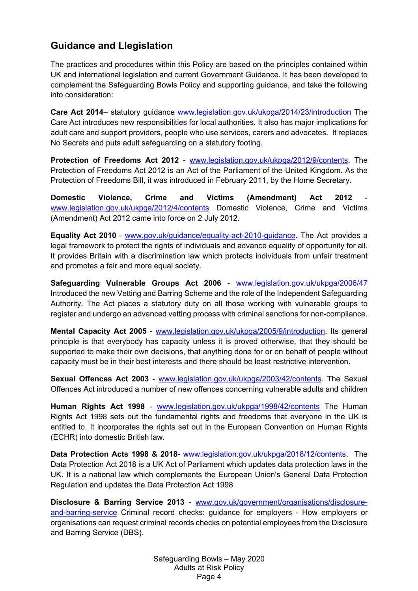#### **Guidance and Llegislation**

The practices and procedures within this Policy are based on the principles contained within UK and international legislation and current Government Guidance. It has been developed to complement the Safeguarding Bowls Policy and supporting guidance, and take the following into consideration:

**Care Act 2014**– statutory guidance www.legislation.gov.uk/ukpga/2014/23/introduction The Care Act introduces new responsibilities for local authorities. It also has major implications for adult care and support providers, people who use services, carers and advocates. It replaces No Secrets and puts adult safeguarding on a statutory footing.

**Protection of Freedoms Act 2012** - www.legislation.gov.uk/ukpga/2012/9/contents. The Protection of Freedoms Act 2012 is an Act of the Parliament of the United Kingdom. As the Protection of Freedoms Bill, it was introduced in February 2011, by the Home Secretary.

**Domestic Violence, Crime and Victims (Amendment) Act 2012** www.legislation.gov.uk/ukpga/2012/4/contents Domestic Violence, Crime and Victims (Amendment) Act 2012 came into force on 2 July 2012.

**Equality Act 2010** - www.gov.uk/guidance/equality-act-2010-guidance. The Act provides a legal framework to protect the rights of individuals and advance equality of opportunity for all. It provides Britain with a discrimination law which protects individuals from unfair treatment and promotes a fair and more equal society.

**Safeguarding Vulnerable Groups Act 2006** - www.legislation.gov.uk/ukpga/2006/47 Introduced the new Vetting and Barring Scheme and the role of the Independent Safeguarding Authority. The Act places a statutory duty on all those working with vulnerable groups to register and undergo an advanced vetting process with criminal sanctions for non-compliance.

**Mental Capacity Act 2005** - www.legislation.gov.uk/ukpga/2005/9/introduction. Its general principle is that everybody has capacity unless it is proved otherwise, that they should be supported to make their own decisions, that anything done for or on behalf of people without capacity must be in their best interests and there should be least restrictive intervention.

**Sexual Offences Act 2003** - www.legislation.gov.uk/ukpga/2003/42/contents. The Sexual Offences Act introduced a number of new offences concerning vulnerable adults and children

**Human Rights Act 1998** - www.legislation.gov.uk/ukpga/1998/42/contents The Human Rights Act 1998 sets out the fundamental rights and freedoms that everyone in the UK is entitled to. It incorporates the rights set out in the European Convention on Human Rights (ECHR) into domestic British law.

**Data Protection Acts 1998 & 2018**- www.legislation.gov.uk/ukpga/2018/12/contents. The Data Protection Act 2018 is a UK Act of Parliament which updates data protection laws in the UK. It is a national law which complements the European Union's General Data Protection Regulation and updates the Data Protection Act 1998

**Disclosure & Barring Service 2013** - www.gov.uk/government/organisations/disclosureand-barring-service Criminal record checks: guidance for employers - How employers or organisations can request criminal records checks on potential employees from the Disclosure and Barring Service (DBS).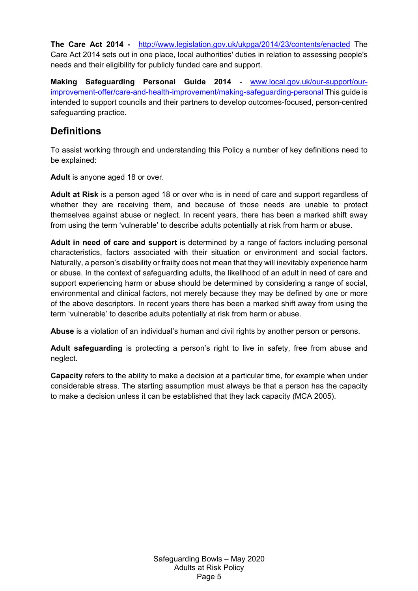**The Care Act 2014 -** http://www.legislation.gov.uk/ukpga/2014/23/contents/enacted The Care Act 2014 sets out in one place, local authorities' duties in relation to assessing people's needs and their eligibility for publicly funded care and support.

**Making Safeguarding Personal Guide 2014** - www.local.gov.uk/our-support/ourimprovement-offer/care-and-health-improvement/making-safeguarding-personal This guide is intended to support councils and their partners to develop outcomes-focused, person-centred safeguarding practice.

#### **Definitions**

To assist working through and understanding this Policy a number of key definitions need to be explained:

**Adult** is anyone aged 18 or over.

**Adult at Risk** is a person aged 18 or over who is in need of care and support regardless of whether they are receiving them, and because of those needs are unable to protect themselves against abuse or neglect. In recent years, there has been a marked shift away from using the term 'vulnerable' to describe adults potentially at risk from harm or abuse.

**Adult in need of care and support** is determined by a range of factors including personal characteristics, factors associated with their situation or environment and social factors. Naturally, a person's disability or frailty does not mean that they will inevitably experience harm or abuse. In the context of safeguarding adults, the likelihood of an adult in need of care and support experiencing harm or abuse should be determined by considering a range of social, environmental and clinical factors, not merely because they may be defined by one or more of the above descriptors. In recent years there has been a marked shift away from using the term 'vulnerable' to describe adults potentially at risk from harm or abuse.

**Abuse** is a violation of an individual's human and civil rights by another person or persons.

**Adult safeguarding** is protecting a person's right to live in safety, free from abuse and neglect.

**Capacity** refers to the ability to make a decision at a particular time, for example when under considerable stress. The starting assumption must always be that a person has the capacity to make a decision unless it can be established that they lack capacity (MCA 2005).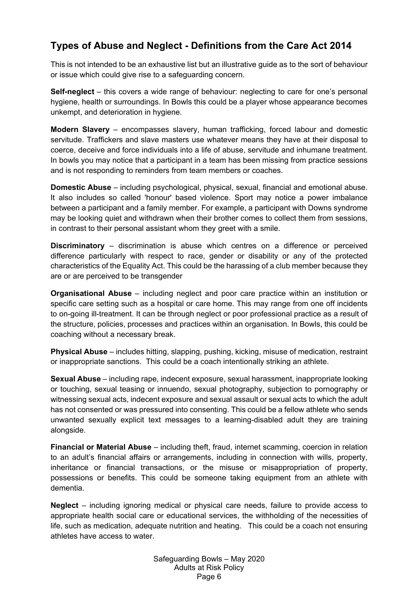## **Types of Abuse and Neglect - Definitions from the Care Act 2014**

This is not intended to be an exhaustive list but an illustrative guide as to the sort of behaviour or issue which could give rise to a safeguarding concern.

**Self-neglect** – this covers a wide range of behaviour: neglecting to care for one's personal hygiene, health or surroundings. In Bowls this could be a player whose appearance becomes unkempt, and deterioration in hygiene.

**Modern Slavery** – encompasses slavery, human trafficking, forced labour and domestic servitude. Traffickers and slave masters use whatever means they have at their disposal to coerce, deceive and force individuals into a life of abuse, servitude and inhumane treatment. In bowls you may notice that a participant in a team has been missing from practice sessions and is not responding to reminders from team members or coaches.

**Domestic Abuse** – including psychological, physical, sexual, financial and emotional abuse. It also includes so called 'honour' based violence. Sport may notice a power imbalance between a participant and a family member. For example, a participant with Downs syndrome may be looking quiet and withdrawn when their brother comes to collect them from sessions, in contrast to their personal assistant whom they greet with a smile.

**Discriminatory** – discrimination is abuse which centres on a difference or perceived difference particularly with respect to race, gender or disability or any of the protected characteristics of the Equality Act. This could be the harassing of a club member because they are or are perceived to be transgender

**Organisational Abuse** – including neglect and poor care practice within an institution or specific care setting such as a hospital or care home. This may range from one off incidents to on-going ill-treatment. It can be through neglect or poor professional practice as a result of the structure, policies, processes and practices within an organisation. In Bowls, this could be coaching without a necessary break.

**Physical Abuse** – includes hitting, slapping, pushing, kicking, misuse of medication, restraint or inappropriate sanctions. This could be a coach intentionally striking an athlete.

**Sexual Abuse** – including rape, indecent exposure, sexual harassment, inappropriate looking or touching, sexual teasing or innuendo, sexual photography, subjection to pornography or witnessing sexual acts, indecent exposure and sexual assault or sexual acts to which the adult has not consented or was pressured into consenting. This could be a fellow athlete who sends unwanted sexually explicit text messages to a learning-disabled adult they are training alongside.

**Financial or Material Abuse** – including theft, fraud, internet scamming, coercion in relation to an adult's financial affairs or arrangements, including in connection with wills, property, inheritance or financial transactions, or the misuse or misappropriation of property, possessions or benefits. This could be someone taking equipment from an athlete with dementia.

**Neglect** – including ignoring medical or physical care needs, failure to provide access to appropriate health social care or educational services, the withholding of the necessities of life, such as medication, adequate nutrition and heating. This could be a coach not ensuring athletes have access to water.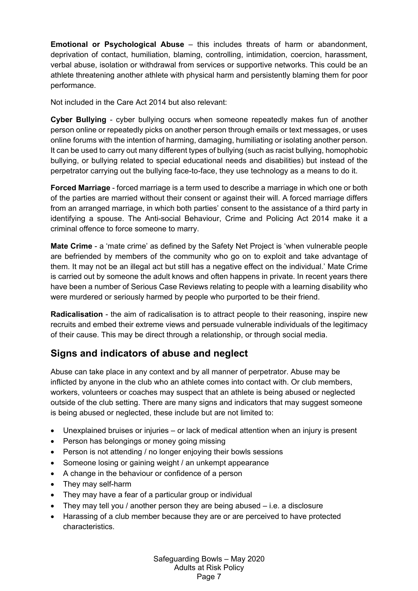**Emotional or Psychological Abuse** – this includes threats of harm or abandonment, deprivation of contact, humiliation, blaming, controlling, intimidation, coercion, harassment, verbal abuse, isolation or withdrawal from services or supportive networks. This could be an athlete threatening another athlete with physical harm and persistently blaming them for poor performance.

Not included in the Care Act 2014 but also relevant:

**Cyber Bullying** - cyber bullying occurs when someone repeatedly makes fun of another person online or repeatedly picks on another person through emails or text messages, or uses online forums with the intention of harming, damaging, humiliating or isolating another person. It can be used to carry out many different types of bullying (such as racist bullying, homophobic bullying, or bullying related to special educational needs and disabilities) but instead of the perpetrator carrying out the bullying face-to-face, they use technology as a means to do it.

**Forced Marriage** - forced marriage is a term used to describe a marriage in which one or both of the parties are married without their consent or against their will. A forced marriage differs from an arranged marriage, in which both parties' consent to the assistance of a third party in identifying a spouse. The Anti-social Behaviour, Crime and Policing Act 2014 make it a criminal offence to force someone to marry.

**Mate Crime** - a 'mate crime' as defined by the Safety Net Project is 'when vulnerable people are befriended by members of the community who go on to exploit and take advantage of them. It may not be an illegal act but still has a negative effect on the individual.' Mate Crime is carried out by someone the adult knows and often happens in private. In recent years there have been a number of Serious Case Reviews relating to people with a learning disability who were murdered or seriously harmed by people who purported to be their friend.

**Radicalisation** - the aim of radicalisation is to attract people to their reasoning, inspire new recruits and embed their extreme views and persuade vulnerable individuals of the legitimacy of their cause. This may be direct through a relationship, or through social media.

#### **Signs and indicators of abuse and neglect**

Abuse can take place in any context and by all manner of perpetrator. Abuse may be inflicted by anyone in the club who an athlete comes into contact with. Or club members, workers, volunteers or coaches may suspect that an athlete is being abused or neglected outside of the club setting. There are many signs and indicators that may suggest someone is being abused or neglected, these include but are not limited to:

- Unexplained bruises or injuries or lack of medical attention when an injury is present
- Person has belongings or money going missing
- Person is not attending / no longer enjoying their bowls sessions
- Someone losing or gaining weight / an unkempt appearance
- A change in the behaviour or confidence of a person
- They may self-harm
- They may have a fear of a particular group or individual
- They may tell you / another person they are being abused i.e. a disclosure
- Harassing of a club member because they are or are perceived to have protected characteristics.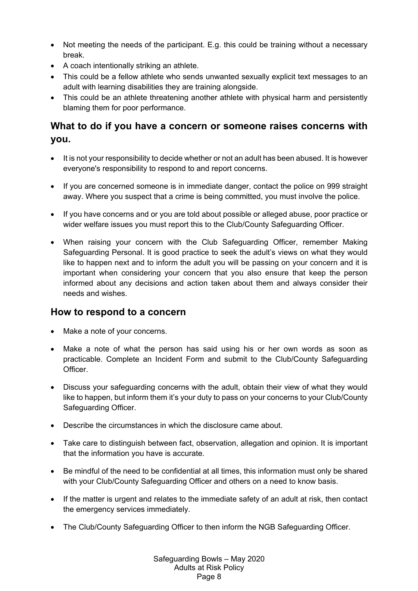- Not meeting the needs of the participant. E.g. this could be training without a necessary break.
- A coach intentionally striking an athlete.
- This could be a fellow athlete who sends unwanted sexually explicit text messages to an adult with learning disabilities they are training alongside.
- This could be an athlete threatening another athlete with physical harm and persistently blaming them for poor performance.

#### **What to do if you have a concern or someone raises concerns with you.**

- It is not your responsibility to decide whether or not an adult has been abused. It is however everyone's responsibility to respond to and report concerns.
- If you are concerned someone is in immediate danger, contact the police on 999 straight away. Where you suspect that a crime is being committed, you must involve the police.
- If you have concerns and or you are told about possible or alleged abuse, poor practice or wider welfare issues you must report this to the Club/County Safeguarding Officer.
- When raising your concern with the Club Safeguarding Officer, remember Making Safeguarding Personal. It is good practice to seek the adult's views on what they would like to happen next and to inform the adult you will be passing on your concern and it is important when considering your concern that you also ensure that keep the person informed about any decisions and action taken about them and always consider their needs and wishes.

#### **How to respond to a concern**

- Make a note of your concerns.
- Make a note of what the person has said using his or her own words as soon as practicable. Complete an Incident Form and submit to the Club/County Safeguarding Officer.
- Discuss your safeguarding concerns with the adult, obtain their view of what they would like to happen, but inform them it's your duty to pass on your concerns to your Club/County Safeguarding Officer.
- Describe the circumstances in which the disclosure came about.
- Take care to distinguish between fact, observation, allegation and opinion. It is important that the information you have is accurate.
- Be mindful of the need to be confidential at all times, this information must only be shared with your Club/County Safeguarding Officer and others on a need to know basis.
- If the matter is urgent and relates to the immediate safety of an adult at risk, then contact the emergency services immediately.
- The Club/County Safeguarding Officer to then inform the NGB Safeguarding Officer.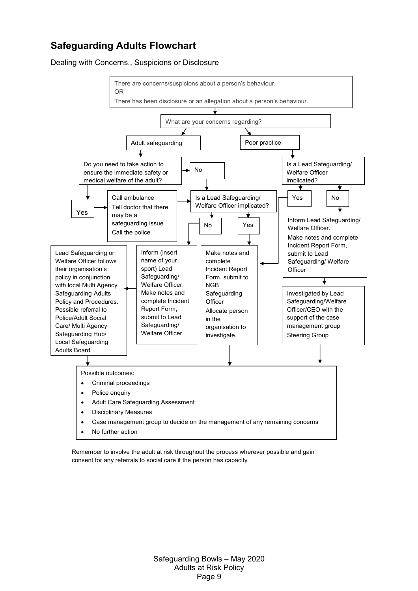#### **Safeguarding Adults Flowchart**

Dealing with Concerns., Suspicions or Disclosure



Remember to involve the adult at risk throughout the process wherever possible and gain consent for any referrals to social care if the person has capacity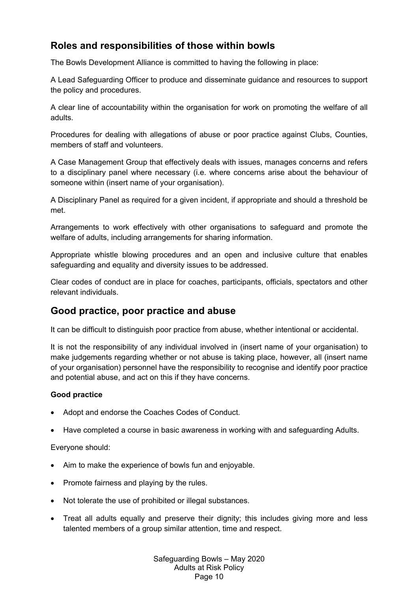#### **Roles and responsibilities of those within bowls**

The Bowls Development Alliance is committed to having the following in place:

A Lead Safeguarding Officer to produce and disseminate guidance and resources to support the policy and procedures.

A clear line of accountability within the organisation for work on promoting the welfare of all adults.

Procedures for dealing with allegations of abuse or poor practice against Clubs, Counties, members of staff and volunteers.

A Case Management Group that effectively deals with issues, manages concerns and refers to a disciplinary panel where necessary (i.e. where concerns arise about the behaviour of someone within (insert name of your organisation).

A Disciplinary Panel as required for a given incident, if appropriate and should a threshold be met.

Arrangements to work effectively with other organisations to safeguard and promote the welfare of adults, including arrangements for sharing information.

Appropriate whistle blowing procedures and an open and inclusive culture that enables safeguarding and equality and diversity issues to be addressed.

Clear codes of conduct are in place for coaches, participants, officials, spectators and other relevant individuals.

#### **Good practice, poor practice and abuse**

It can be difficult to distinguish poor practice from abuse, whether intentional or accidental.

It is not the responsibility of any individual involved in (insert name of your organisation) to make judgements regarding whether or not abuse is taking place, however, all (insert name of your organisation) personnel have the responsibility to recognise and identify poor practice and potential abuse, and act on this if they have concerns.

#### **Good practice**

- Adopt and endorse the Coaches Codes of Conduct.
- Have completed a course in basic awareness in working with and safeguarding Adults.

Everyone should:

- Aim to make the experience of bowls fun and enjoyable.
- Promote fairness and playing by the rules.
- Not tolerate the use of prohibited or illegal substances.
- Treat all adults equally and preserve their dignity; this includes giving more and less talented members of a group similar attention, time and respect.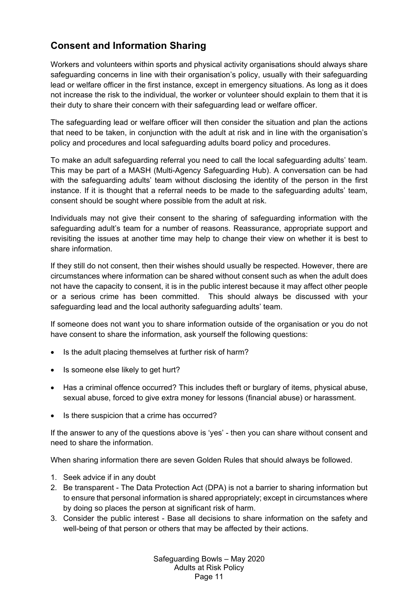## **Consent and Information Sharing**

Workers and volunteers within sports and physical activity organisations should always share safeguarding concerns in line with their organisation's policy, usually with their safeguarding lead or welfare officer in the first instance, except in emergency situations. As long as it does not increase the risk to the individual, the worker or volunteer should explain to them that it is their duty to share their concern with their safeguarding lead or welfare officer.

The safeguarding lead or welfare officer will then consider the situation and plan the actions that need to be taken, in conjunction with the adult at risk and in line with the organisation's policy and procedures and local safeguarding adults board policy and procedures.

To make an adult safeguarding referral you need to call the local safeguarding adults' team. This may be part of a MASH (Multi-Agency Safeguarding Hub). A conversation can be had with the safeguarding adults' team without disclosing the identity of the person in the first instance. If it is thought that a referral needs to be made to the safeguarding adults' team, consent should be sought where possible from the adult at risk.

Individuals may not give their consent to the sharing of safeguarding information with the safeguarding adult's team for a number of reasons. Reassurance, appropriate support and revisiting the issues at another time may help to change their view on whether it is best to share information.

If they still do not consent, then their wishes should usually be respected. However, there are circumstances where information can be shared without consent such as when the adult does not have the capacity to consent, it is in the public interest because it may affect other people or a serious crime has been committed. This should always be discussed with your safeguarding lead and the local authority safeguarding adults' team.

If someone does not want you to share information outside of the organisation or you do not have consent to share the information, ask yourself the following questions:

- Is the adult placing themselves at further risk of harm?
- Is someone else likely to get hurt?
- Has a criminal offence occurred? This includes theft or burglary of items, physical abuse, sexual abuse, forced to give extra money for lessons (financial abuse) or harassment.
- Is there suspicion that a crime has occurred?

If the answer to any of the questions above is 'yes' - then you can share without consent and need to share the information.

When sharing information there are seven Golden Rules that should always be followed.

- 1. Seek advice if in any doubt
- 2. Be transparent The Data Protection Act (DPA) is not a barrier to sharing information but to ensure that personal information is shared appropriately; except in circumstances where by doing so places the person at significant risk of harm.
- 3. Consider the public interest Base all decisions to share information on the safety and well-being of that person or others that may be affected by their actions.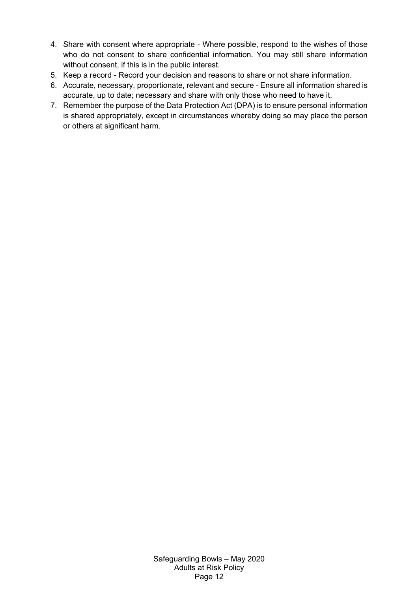- 4. Share with consent where appropriate Where possible, respond to the wishes of those who do not consent to share confidential information. You may still share information without consent, if this is in the public interest.
- 5. Keep a record Record your decision and reasons to share or not share information.
- 6. Accurate, necessary, proportionate, relevant and secure Ensure all information shared is accurate, up to date; necessary and share with only those who need to have it.
- 7. Remember the purpose of the Data Protection Act (DPA) is to ensure personal information is shared appropriately, except in circumstances whereby doing so may place the person or others at significant harm.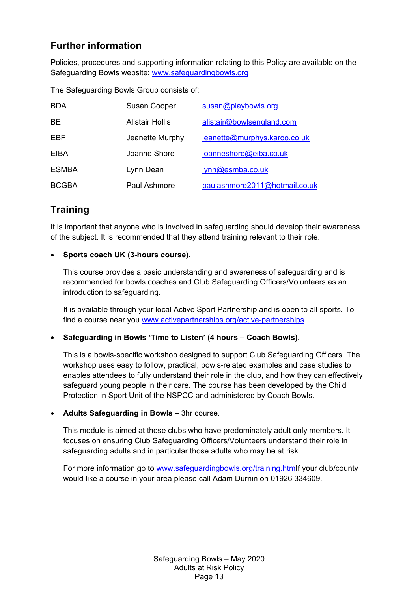## **Further information**

Policies, procedures and supporting information relating to this Policy are available on the Safeguarding Bowls website: www.safeguardingbowls.org

The Safeguarding Bowls Group consists of:

| <b>BDA</b>   | <b>Susan Cooper</b> | susan@playbowls.org           |
|--------------|---------------------|-------------------------------|
| <b>BE</b>    | Alistair Hollis     | alistair@bowlsengland.com     |
| EBF          | Jeanette Murphy     | jeanette@murphys.karoo.co.uk  |
| EIBA         | Joanne Shore        | joanneshore@eiba.co.uk        |
| <b>ESMBA</b> | Lynn Dean           | lynn@esmba.co.uk              |
| <b>BCGBA</b> | Paul Ashmore        | paulashmore2011@hotmail.co.uk |

#### **Training**

It is important that anyone who is involved in safeguarding should develop their awareness of the subject. It is recommended that they attend training relevant to their role.

#### **Sports coach UK (3-hours course).**

This course provides a basic understanding and awareness of safeguarding and is recommended for bowls coaches and Club Safeguarding Officers/Volunteers as an introduction to safeguarding.

It is available through your local Active Sport Partnership and is open to all sports. To find a course near you www.activepartnerships.org/active-partnerships

#### **Safeguarding in Bowls 'Time to Listen' (4 hours – Coach Bowls)**.

This is a bowls-specific workshop designed to support Club Safeguarding Officers. The workshop uses easy to follow, practical, bowls-related examples and case studies to enables attendees to fully understand their role in the club, and how they can effectively safeguard young people in their care. The course has been developed by the Child Protection in Sport Unit of the NSPCC and administered by Coach Bowls.

#### **Adults Safeguarding in Bowls –** 3hr course.

This module is aimed at those clubs who have predominately adult only members. It focuses on ensuring Club Safeguarding Officers/Volunteers understand their role in safeguarding adults and in particular those adults who may be at risk.

For more information go to www.safeguardingbowls.org/training.htmIf your club/county would like a course in your area please call Adam Durnin on 01926 334609.